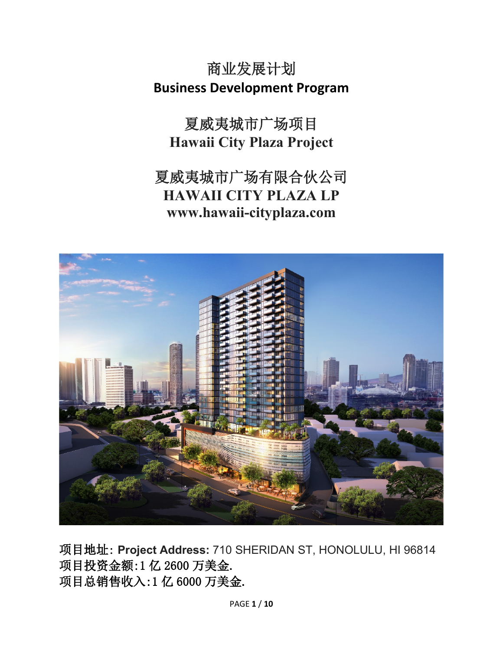商业发展计划 **Business Development Program**

夏威夷城市广场项目 **Hawaii City Plaza Project**

夏威夷城市广场有限合伙公司 **HAWAII CITY PLAZA LP www.hawaii-cityplaza.com**



项目地址: **Project Address:** 710 SHERIDAN ST, HONOLULU, HI 96814 项目投资金额:1 亿 2600 万美金. 项目总销售收入:1 亿 6000 万美金.

PAGE **1** / **10**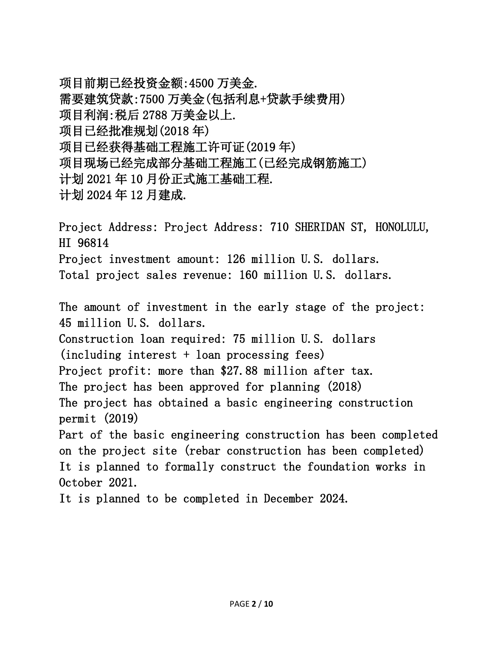项目前期已经投资金额:4500 万美金. 需要建筑贷款:7500 万美金(包括利息+贷款手续费用) 项目利润:税后 2788 万美金以上. 项目已经批准规划(2018 年) 项目已经获得基础工程施工许可证(2019 年) 项目现场已经完成部分基础工程施工(已经完成钢筋施工) 计划 2021 年 10 月份正式施工基础工程. 计划 2024 年 12 月建成.

Project Address: Project Address: 710 SHERIDAN ST, HONOLULU, HI 96814 Project investment amount: 126 million U.S. dollars. Total project sales revenue: 160 million U.S. dollars.

The amount of investment in the early stage of the project: 45 million U.S. dollars. Construction loan required: 75 million U.S. dollars (including interest + loan processing fees) Project profit: more than \$27.88 million after tax. The project has been approved for planning (2018) The project has obtained a basic engineering construction permit (2019) Part of the basic engineering construction has been completed on the project site (rebar construction has been completed) It is planned to formally construct the foundation works in October 2021. It is planned to be completed in December 2024.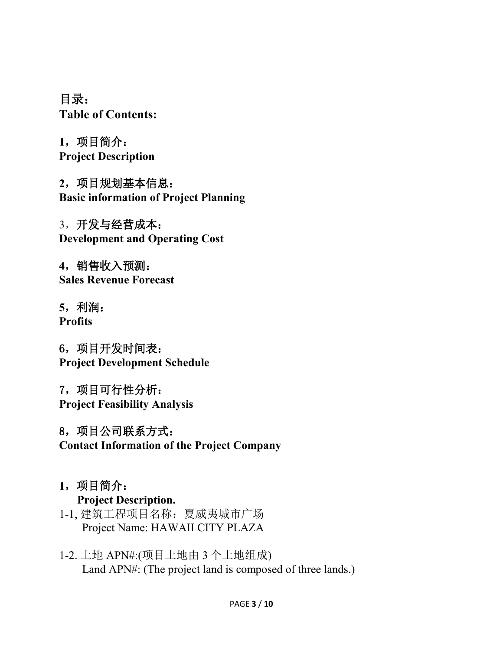目录: **Table of Contents:**

**1**,项目简介: **Project Description**

**2**,项目规划基本信息: **Basic information of Project Planning**

3,开发与经营成本: **Development and Operating Cost**

**4**,销售收入预测: **Sales Revenue Forecast**

**5**,利润: **Profits**

6,项目开发时间表: **Project Development Schedule**

7,项目可行性分析: **Project Feasibility Analysis**

8,项目公司联系方式: **Contact Information of the Project Company**

- **1**,项目简介: **Project Description.**
- 1-1, 建筑工程项目名称:夏威夷城市广场 Project Name: HAWAII CITY PLAZA
- 1-2. 土地 APN#:(项目土地由 3 个土地组成) Land APN#: (The project land is composed of three lands.)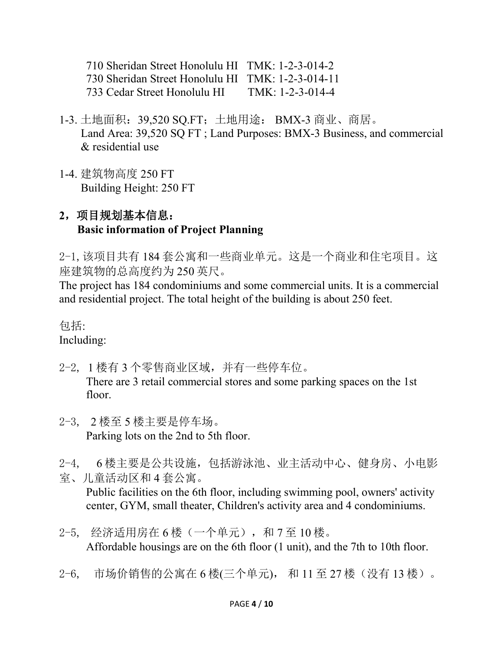710 Sheridan Street Honolulu HI TMK: 1-2-3-014-2 730 Sheridan Street Honolulu HI TMK: 1-2-3-014-11 733 Cedar Street Honolulu HI TMK: 1-2-3-014-4

- 1-3. 土地面积:39,520 SQ.FT;土地用途: BMX-3 商业、商居。 Land Area: 39,520 SQ FT ; Land Purposes: BMX-3 Business, and commercial & residential use
- 1-4. 建筑物高度 250 FT Building Height: 250 FT

# **2**,项目规划基本信息: **Basic information of Project Planning**

2-1,该项目共有 184 套公寓和一些商业单元。这是一个商业和住宅项目。这 座建筑物的总高度约为 250 英尺。

The project has 184 condominiums and some commercial units. It is a commercial and residential project. The total height of the building is about 250 feet.

包括:

Including:

- 2-2, 1 楼有 3 个零售商业区域,并有一些停车位。 There are 3 retail commercial stores and some parking spaces on the 1st floor.
- 2-3, 2 楼至 5 楼主要是停车场。 Parking lots on the 2nd to 5th floor.
- 2-4, 6 楼主要是公共设施,包括游泳池、业主活动中心、健身房、小电影 室、儿童活动区和 4 套公寓。

Public facilities on the 6th floor, including swimming pool, owners' activity center, GYM, small theater, Children's activity area and 4 condominiums.

- 2-5, 经济适用房在 6 楼(一个单元), 和 7 至 10 楼。 Affordable housings are on the 6th floor (1 unit), and the 7th to 10th floor.
- 2-6, 市场价销售的公寓在 6 楼(三个单元), 和 11 至 27 楼(没有 13 楼)。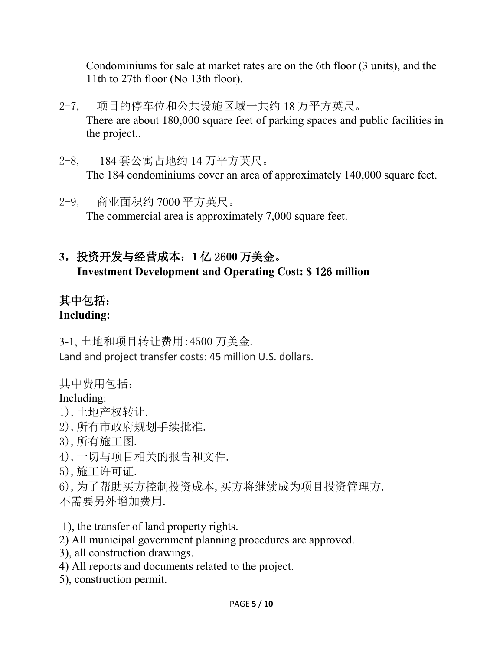Condominiums for sale at market rates are on the 6th floor (3 units), and the 11th to 27th floor (No 13th floor).

- 2-7, 项目的停车位和公共设施区域一共约 18 万平方英尺。 There are about 180,000 square feet of parking spaces and public facilities in the project..
- 2-8, 184 套公寓占地约 14 万平方英尺。 The 184 condominiums cover an area of approximately 140,000 square feet.
- 2-9, 商业面积约 7000 平方英尺。 The commercial area is approximately 7,000 square feet.
- **3**,投资开发与经营成本:**1** 亿 26**00** 万美金。 **Investment Development and Operating Cost: \$ 1**26 **million**

### 其中包括: **Including:**

3-1, 土地和项目转让费用:4500 万美金. Land and project transfer costs: 45 million U.S. dollars.

其中费用包括:

# Including:

- 1),土地产权转让.
- 2),所有市政府规划手续批准.
- 3),所有施工图.
- 4),一切与项目相关的报告和文件.
- 5),施工许可证.
- 6),为了帮助买方控制投资成本,买方将继续成为项目投资管理方.
- 不需要另外增加费用.
- 1), the transfer of land property rights.
- 2) All municipal government planning procedures are approved.
- 3), all construction drawings.
- 4) All reports and documents related to the project.
- 5), construction permit.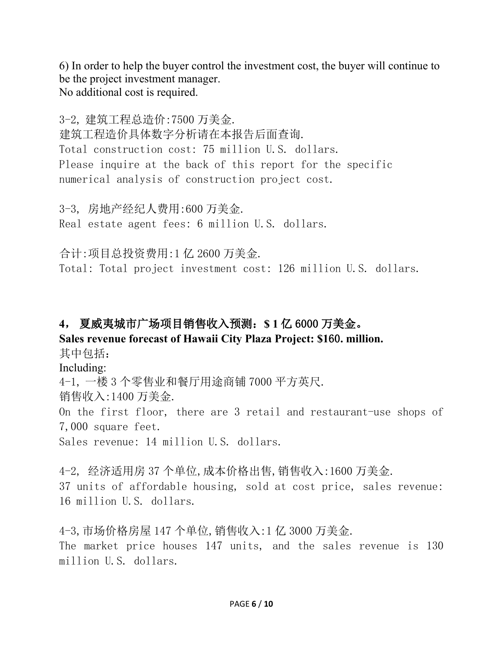6) In order to help the buyer control the investment cost, the buyer will continue to be the project investment manager. No additional cost is required.

3-2, 建筑工程总造价:7500 万美金. 建筑工程造价具体数字分析请在本报告后面查询. Total construction cost: 75 million U.S. dollars. Please inquire at the back of this report for the specific numerical analysis of construction project cost.

3-3, 房地产经纪人费用:600 万美金. Real estate agent fees: 6 million U.S. dollars.

合计:项目总投资费用:1 亿 2600 万美金. Total: Total project investment cost: 126 million U.S. dollars.

# **4**, 夏威夷城市广场项目销售收入预测:**\$ 1** 亿 6000 万美金。

# **Sales revenue forecast of Hawaii City Plaza Project: \$1**60**. million.**

其中包括:

Including:

4-1, 一楼 3 个零售业和餐厅用途商铺 7000 平方英尺.

销售收入:1400 万美金.

On the first floor, there are 3 retail and restaurant-use shops of 7,000 square feet.

Sales revenue: 14 million U.S. dollars.

4-2, 经济适用房 37 个单位,成本价格出售,销售收入:1600 万美金. 37 units of affordable housing, sold at cost price, sales revenue: 16 million U.S. dollars.

4-3,市场价格房屋 147 个单位,销售收入:1 亿 3000 万美金. The market price houses 147 units, and the sales revenue is 130 million U.S. dollars.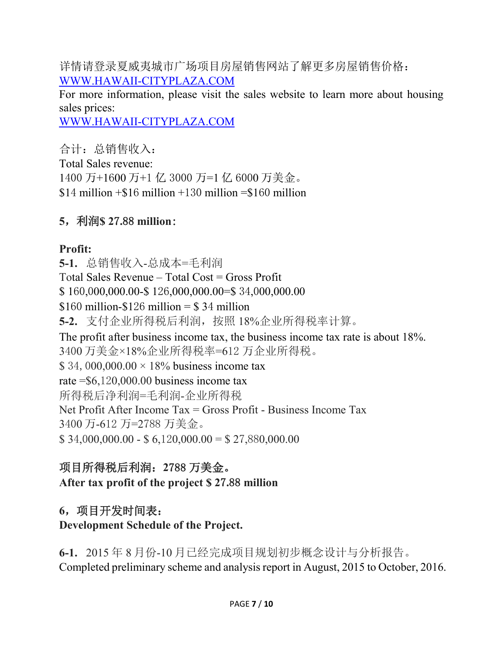详情请登录夏威夷城市广场项目房屋销售网站了解更多房屋销售价格: [WWW.HAWAII-CITYPLAZA.COM](http://www.hawaii-cityplaza.com/)

For more information, please visit the sales website to learn more about housing sales prices:

[WWW.HAWAII-CITYPLAZA.COM](http://www.hawaii-cityplaza.com/)

合计:总销售收入: Total Sales revenue: 1400 万+1600 万+1 亿 3000 万=1 亿 6000 万美金。  $$14$  million  $+\$16$  million  $+130$  million  $= \$160$  million

### **5**,利润**\$ 2**7**.**88 **million**:

### **Profit:**

**5-1.** 总销售收入-总成本=毛利润 Total Sales Revenue – Total Cost = Gross Profit \$ 160,000,000.00-\$ 126,000,000.00=\$ 34,000,000.00  $$160$  million- $$126$  million =  $$34$  million **5-2.** 支付企业所得税后利润,按照 18%企业所得税率计算。 The profit after business income tax, the business income tax rate is about 18%. 3400 万美金×18%企业所得税率=612 万企业所得税。 \$ 34,000,000.00  $\times$  18% business income tax rate  $= $6,120,000.00$  business income tax 所得税后净利润=毛利润-企业所得税 Net Profit After Income Tax = Gross Profit - Business Income Tax 3400 万-612 万=2788 万美金。  $$34,000,000.00 - $6,120,000.00 = $27,880,000.00$ 

# 项目所得税后利润:**2**788 万美金。

**After tax profit of the project \$ 2**7**.**88 **million**

# **6**,项目开发时间表:

### **Development Schedule of the Project.**

**6-1.** 2015 年 8 月份-10 月已经完成项目规划初步概念设计与分析报告。 Completed preliminary scheme and analysis report in August, 2015 to October, 2016.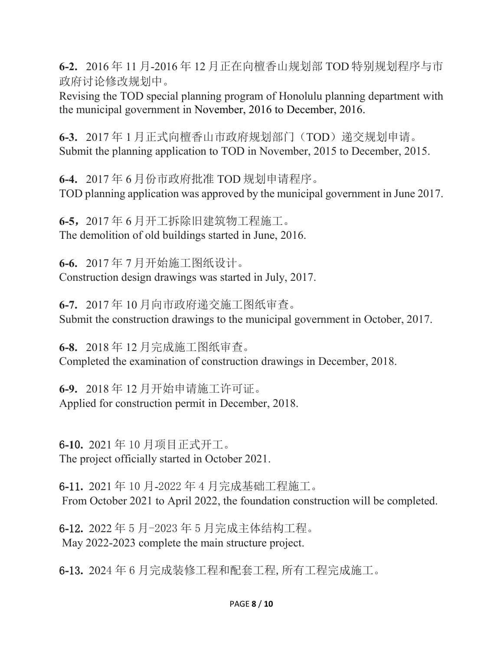**6-2.** 2016 年 11 月-2016 年 12 月正在向檀香山规划部 TOD 特别规划程序与市 政府讨论修改规划中。

Revising the TOD special planning program of Honolulu planning department with the municipal government in November, 2016 to December, 2016.

**6-3.** 2017 年 1 月正式向檀香山市政府规划部门(TOD)递交规划申请。 Submit the planning application to TOD in November, 2015 to December, 2015.

**6-4.** 2017 年 6 月份市政府批准 TOD 规划申请程序。 TOD planning application was approved by the municipal government in June 2017.

**6-5**,2017 年 6 月开工拆除旧建筑物工程施工。 The demolition of old buildings started in June, 2016.

**6-6.** 2017 年 7 月开始施工图纸设计。 Construction design drawings was started in July, 2017.

**6-7.** 2017 年 10 月向市政府递交施工图纸审查。 Submit the construction drawings to the municipal government in October, 2017.

**6-8.** 2018 年 12 月完成施工图纸审查。 Completed the examination of construction drawings in December, 2018.

**6-9.** 2018 年 12 月开始申请施工许可证。 Applied for construction permit in December, 2018.

6**-1**0**.** 2021 年 10 月项目正式开工。 The project officially started in October 2021.

6**-**11**.** 2021 年 10 月-2022 年 4 月完成基础工程施工。 From October 2021 to April 2022, the foundation construction will be completed.

6**-**12**.** 2022 年 5 月-2023 年 5 月完成主体结构工程。 May 2022-2023 complete the main structure project.

6**-**13**.** 2024 年 6 月完成装修工程和配套工程,所有工程完成施工。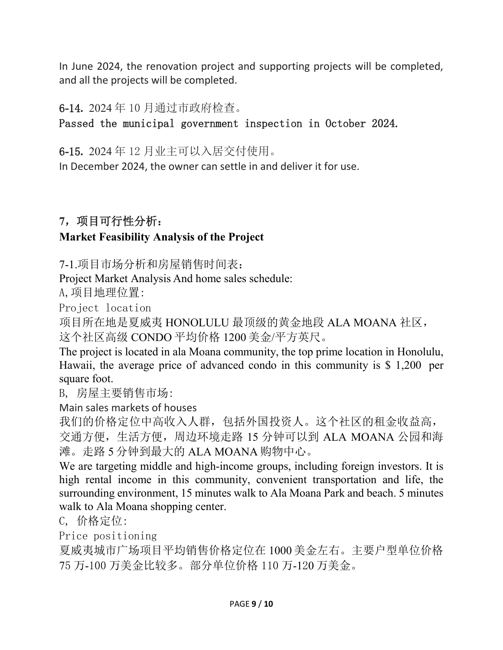In June 2024, the renovation project and supporting projects will be completed, and all the projects will be completed.

#### 6**-**14**.** 2024 年 10 月通过市政府检查。

Passed the municipal government inspection in October 2024.

6**-**15**.** 2024 年 12 月业主可以入居交付使用。

In December 2024, the owner can settle in and deliver it for use.

# **7**,项目可行性分析:

## **Market Feasibility Analysis of the Project**

7-1.项目市场分析和房屋销售时间表:

Project Market Analysis And home sales schedule:

A,项目地理位置:

Project location

项目所在地是夏威夷 HONOLULU 最顶级的黄金地段 ALA MOANA 社区, 这个社区高级 CONDO 平均价格 1200 美金/平方英尺。

The project is located in ala Moana community, the top prime location in Honolulu, Hawaii, the average price of advanced condo in this community is \$ 1,200 per square foot.

B, 房屋主要销售市场:

Main sales markets of houses

我们的价格定位中高收入人群,包括外国投资人。这个社区的租金收益高, 交通方便,生活方便,周边环境走路 15 分钟可以到 ALA MOANA 公园和海 滩。走路 5 分钟到最大的 ALA MOANA 购物中心。

We are targeting middle and high-income groups, including foreign investors. It is high rental income in this community, convenient transportation and life, the surrounding environment, 15 minutes walk to Ala Moana Park and beach. 5 minutes walk to Ala Moana shopping center.

C, 价格定位:

Price positioning

夏威夷城市广场项目平均销售价格定位在 1000 美金左右。主要户型单位价格 75 万-100 万美金比较多。部分单位价格 110 万-120 万美金。